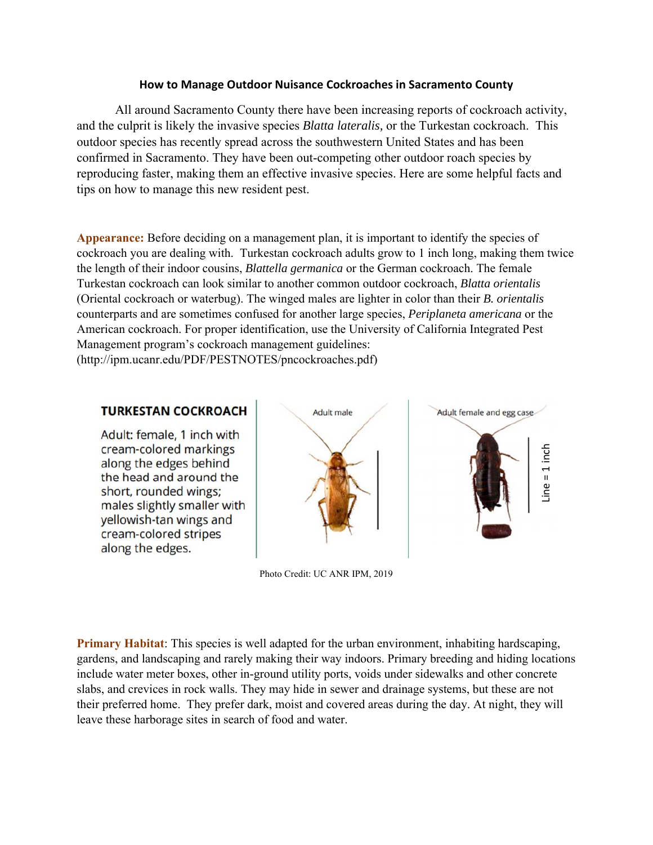## **How to Manage Outdoor Nuisance Cockroaches in Sacramento County**

All around Sacramento County there have been increasing reports of cockroach activity, and the culprit is likely the invasive species *Blatta lateralis,* or the Turkestan cockroach. This outdoor species has recently spread across the southwestern United States and has been confirmed in Sacramento. They have been out-competing other outdoor roach species by reproducing faster, making them an effective invasive species. Here are some helpful facts and tips on how to manage this new resident pest.

**Appearance:** Before deciding on a management plan, it is important to identify the species of cockroach you are dealing with. Turkestan cockroach adults grow to 1 inch long, making them twice the length of their indoor cousins, *Blattella germanica* or the German cockroach. The female Turkestan cockroach can look similar to another common outdoor cockroach, *Blatta orientalis* (Oriental cockroach or waterbug). The winged males are lighter in color than their *B. orientalis* counterparts and are sometimes confused for another large species, *Periplaneta americana* or the American cockroach. For proper identification, use the University of California Integrated Pest Management program's cockroach management guidelines: (http://ipm.ucanr.edu/PDF/PESTNOTES/pncockroaches.pdf)

## **TURKESTAN COCKROACH**

Adult: female, 1 inch with cream-colored markings along the edges behind the head and around the short, rounded wings: males slightly smaller with vellowish-tan wings and cream-colored stripes along the edges.





Photo Credit: UC ANR IPM, 2019

**Primary Habitat**: This species is well adapted for the urban environment, inhabiting hardscaping, gardens, and landscaping and rarely making their way indoors. Primary breeding and hiding locations include water meter boxes, other in-ground utility ports, voids under sidewalks and other concrete slabs, and crevices in rock walls. They may hide in sewer and drainage systems, but these are not their preferred home. They prefer dark, moist and covered areas during the day. At night, they will leave these harborage sites in search of food and water.